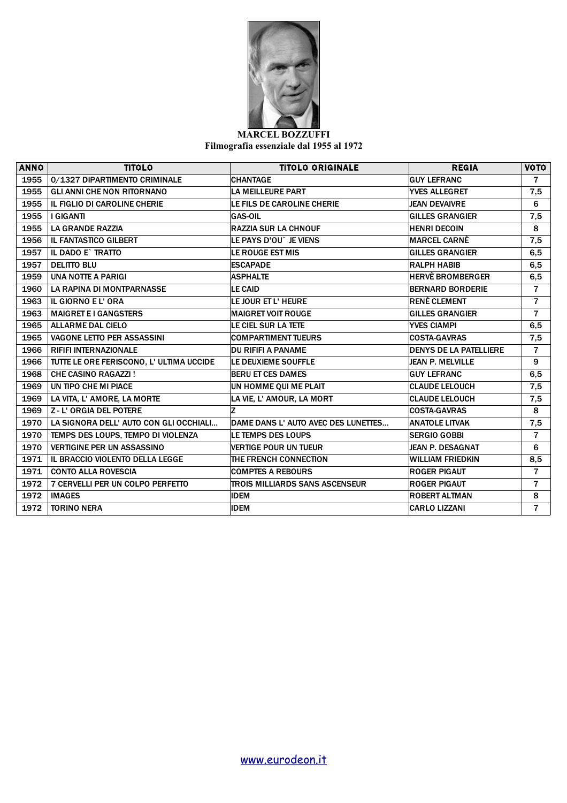

## **MARCEL BOZZUFFI Filmografia essenziale dal 1955 al 1972**

| <b>ANNO</b> | <b>TITOLO</b>                           | <b>TITOLO ORIGINALE</b>               | <b>REGIA</b>                  | <b>VOTO</b>    |
|-------------|-----------------------------------------|---------------------------------------|-------------------------------|----------------|
| 1955        | 0/1327 DIPARTIMENTO CRIMINALE           | <b>CHANTAGE</b>                       | <b>GUY LEFRANC</b>            | $\overline{7}$ |
| 1955        | <b>GLI ANNI CHE NON RITORNANO</b>       | <b>LA MEILLEURE PART</b>              | <b>YVES ALLEGRET</b>          | 7,5            |
| 1955        | IL FIGLIO DI CAROLINE CHERIE            | LE FILS DE CAROLINE CHERIE            | <b>JEAN DEVAIVRE</b>          | 6              |
| 1955        | I GIGANTI                               | <b>GAS-OIL</b>                        | <b>GILLES GRANGIER</b>        | 7,5            |
| 1955        | <b>LA GRANDE RAZZIA</b>                 | <b>RAZZIA SUR LA CHNOUF</b>           | <b>HENRI DECOIN</b>           | 8              |
| 1956        | <b>IL FANTASTICO GILBERT</b>            | LE PAYS D'OU` JE VIENS                | <b>MARCEL CARNE</b>           | 7,5            |
| 1957        | IL DADO E` TRATTO                       | LE ROUGE EST MIS                      | <b>GILLES GRANGIER</b>        | 6,5            |
| 1957        | <b>DELITTO BLU</b>                      | <b>ESCAPADE</b>                       | <b>RALPH HABIB</b>            | 6,5            |
| 1959        | <b>UNA NOTTE A PARIGI</b>               | <b>ASPHALTE</b>                       | <b>HERVE BROMBERGER</b>       | 6,5            |
| 1960        | LA RAPINA DI MONTPARNASSE               | <b>LE CAID</b>                        | <b>BERNARD BORDERIE</b>       | $\overline{7}$ |
| 1963        | IL GIORNO E L'ORA                       | LE JOUR ET L'HEURE                    | <b>RENÈ CLEMENT</b>           | $\overline{7}$ |
| 1963        | <b>MAIGRET E I GANGSTERS</b>            | <b>MAIGRET VOIT ROUGE</b>             | <b>GILLES GRANGIER</b>        | $\overline{7}$ |
| 1965        | <b>ALLARME DAL CIELO</b>                | LE CIEL SUR LA TETE                   | <b>YVES CIAMPI</b>            | 6,5            |
| 1965        | <b>VAGONE LETTO PER ASSASSINI</b>       | <b>COMPARTIMENT TUEURS</b>            | <b>COSTA-GAVRAS</b>           | 7,5            |
| 1966        | <b>RIFIFI INTERNAZIONALE</b>            | <b>DU RIFIFI A PANAME</b>             | <b>DENYS DE LA PATELLIERE</b> | $\overline{7}$ |
| 1966        | TUTTE LE ORE FERISCONO, L'ULTIMA UCCIDE | LE DEUXIEME SOUFFLE                   | <b>JEAN P. MELVILLE</b>       | 9              |
| 1968        | <b>CHE CASINO RAGAZZI!</b>              | <b>BERU ET CES DAMES</b>              | <b>GUY LEFRANC</b>            | 6,5            |
| 1969        | UN TIPO CHE MI PIACE                    | UN HOMME QUI ME PLAIT                 | <b>CLAUDE LELOUCH</b>         | 7,5            |
| 1969        | LA VITA, L' AMORE, LA MORTE             | LA VIE, L' AMOUR, LA MORT             | <b>CLAUDE LELOUCH</b>         | 7,5            |
| 1969        | <b>Z-L'ORGIA DEL POTERE</b>             | Iz.                                   | <b>COSTA-GAVRAS</b>           | 8              |
| 1970        | LA SIGNORA DELL' AUTO CON GLI OCCHIALI  | DAME DANS L'AUTO AVEC DES LUNETTES    | ANATOLE LITVAK                | 7,5            |
| 1970        | TEMPS DES LOUPS, TEMPO DI VIOLENZA      | LE TEMPS DES LOUPS                    | <b>SERGIO GOBBI</b>           | $\overline{7}$ |
| 1970        | <b>VERTIGINE PER UN ASSASSINO</b>       | <b>VERTIGE POUR UN TUEUR</b>          | JEAN P. DESAGNAT              | 6              |
| 1971        | IL BRACCIO VIOLENTO DELLA LEGGE         | THE FRENCH CONNECTION                 | <b>WILLIAM FRIEDKIN</b>       | 8,5            |
| 1971        | <b>CONTO ALLA ROVESCIA</b>              | <b>COMPTES A REBOURS</b>              | <b>ROGER PIGAUT</b>           | $\overline{7}$ |
| 1972        | 7 CERVELLI PER UN COLPO PERFETTO        | <b>TROIS MILLIARDS SANS ASCENSEUR</b> | <b>ROGER PIGAUT</b>           | $\overline{7}$ |
| 1972        | <b>IMAGES</b>                           | <b>IDEM</b>                           | <b>ROBERT ALTMAN</b>          | 8              |
| 1972        | <b>TORINO NERA</b>                      | <b>IDEM</b>                           | <b>CARLO LIZZANI</b>          | $\overline{7}$ |